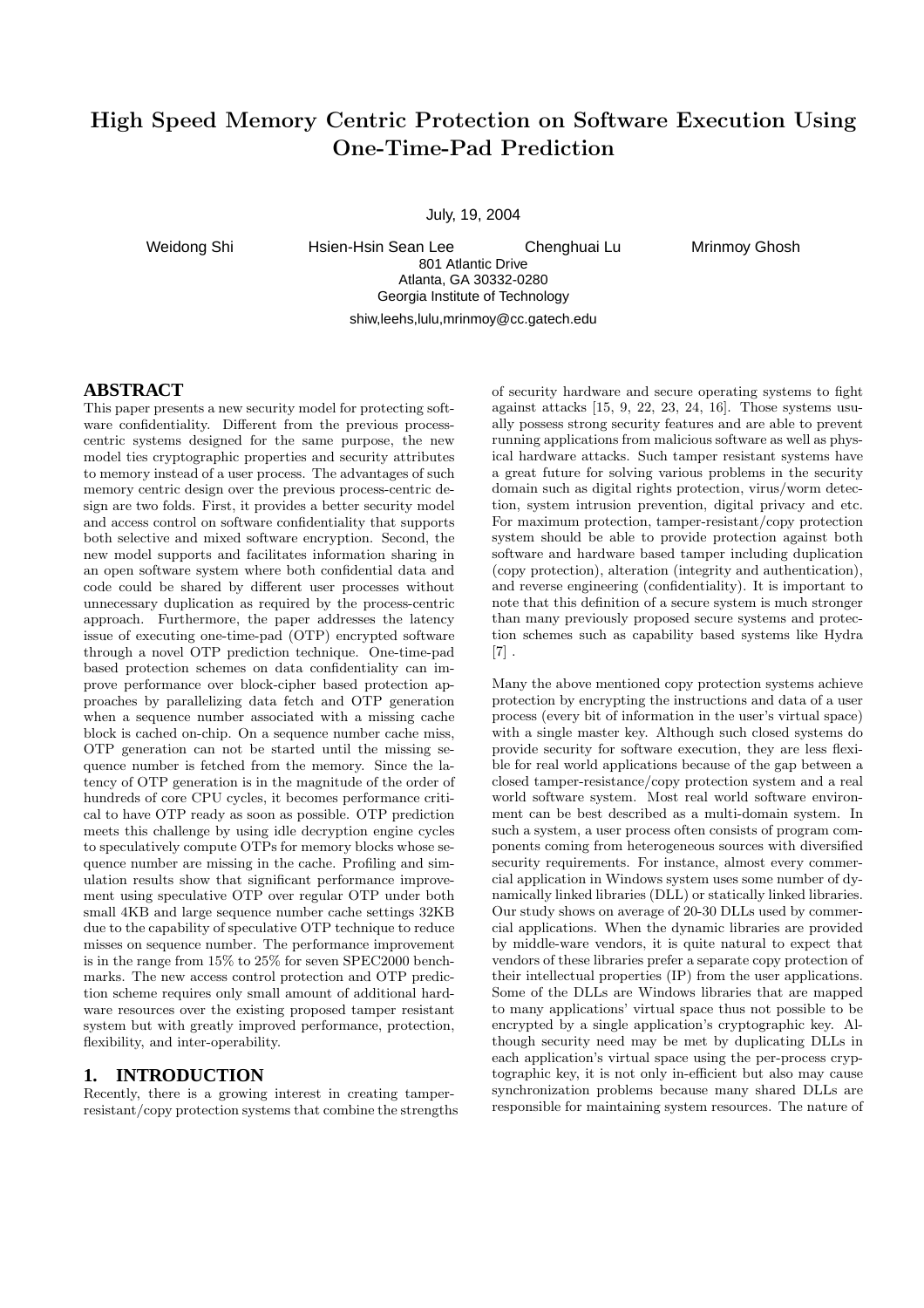# High Speed Memory Centric Protection on Software Execution Using One-Time-Pad Prediction

July, 19, 2004

Weidong Shi Hsien-Hsin Sean Lee Chenghuai Lu Mrinmoy Ghosh 801 Atlantic Drive Atlanta, GA 30332-0280 Georgia Institute of Technology shiw,leehs,lulu,mrinmoy@cc.gatech.edu

### **ABSTRACT**

This paper presents a new security model for protecting software confidentiality. Different from the previous processcentric systems designed for the same purpose, the new model ties cryptographic properties and security attributes to memory instead of a user process. The advantages of such memory centric design over the previous process-centric design are two folds. First, it provides a better security model and access control on software confidentiality that supports both selective and mixed software encryption. Second, the new model supports and facilitates information sharing in an open software system where both confidential data and code could be shared by different user processes without unnecessary duplication as required by the process-centric approach. Furthermore, the paper addresses the latency issue of executing one-time-pad (OTP) encrypted software through a novel OTP prediction technique. One-time-pad based protection schemes on data confidentiality can improve performance over block-cipher based protection approaches by parallelizing data fetch and OTP generation when a sequence number associated with a missing cache block is cached on-chip. On a sequence number cache miss, OTP generation can not be started until the missing sequence number is fetched from the memory. Since the latency of OTP generation is in the magnitude of the order of hundreds of core CPU cycles, it becomes performance critical to have OTP ready as soon as possible. OTP prediction meets this challenge by using idle decryption engine cycles to speculatively compute OTPs for memory blocks whose sequence number are missing in the cache. Profiling and simulation results show that significant performance improvement using speculative OTP over regular OTP under both small 4KB and large sequence number cache settings 32KB due to the capability of speculative OTP technique to reduce misses on sequence number. The performance improvement is in the range from 15% to 25% for seven SPEC2000 benchmarks. The new access control protection and OTP prediction scheme requires only small amount of additional hardware resources over the existing proposed tamper resistant system but with greatly improved performance, protection, flexibility, and inter-operability.

### **1. INTRODUCTION**

Recently, there is a growing interest in creating tamperresistant/copy protection systems that combine the strengths

of security hardware and secure operating systems to fight against attacks [15, 9, 22, 23, 24, 16]. Those systems usually possess strong security features and are able to prevent running applications from malicious software as well as physical hardware attacks. Such tamper resistant systems have a great future for solving various problems in the security domain such as digital rights protection, virus/worm detection, system intrusion prevention, digital privacy and etc. For maximum protection, tamper-resistant/copy protection system should be able to provide protection against both software and hardware based tamper including duplication (copy protection), alteration (integrity and authentication), and reverse engineering (confidentiality). It is important to note that this definition of a secure system is much stronger than many previously proposed secure systems and protection schemes such as capability based systems like Hydra  $[7]$ .

Many the above mentioned copy protection systems achieve protection by encrypting the instructions and data of a user process (every bit of information in the user's virtual space) with a single master key. Although such closed systems do provide security for software execution, they are less flexible for real world applications because of the gap between a closed tamper-resistance/copy protection system and a real world software system. Most real world software environment can be best described as a multi-domain system. In such a system, a user process often consists of program components coming from heterogeneous sources with diversified security requirements. For instance, almost every commercial application in Windows system uses some number of dynamically linked libraries (DLL) or statically linked libraries. Our study shows on average of 20-30 DLLs used by commercial applications. When the dynamic libraries are provided by middle-ware vendors, it is quite natural to expect that vendors of these libraries prefer a separate copy protection of their intellectual properties (IP) from the user applications. Some of the DLLs are Windows libraries that are mapped to many applications' virtual space thus not possible to be encrypted by a single application's cryptographic key. Although security need may be met by duplicating DLLs in each application's virtual space using the per-process cryptographic key, it is not only in-efficient but also may cause synchronization problems because many shared DLLs are responsible for maintaining system resources. The nature of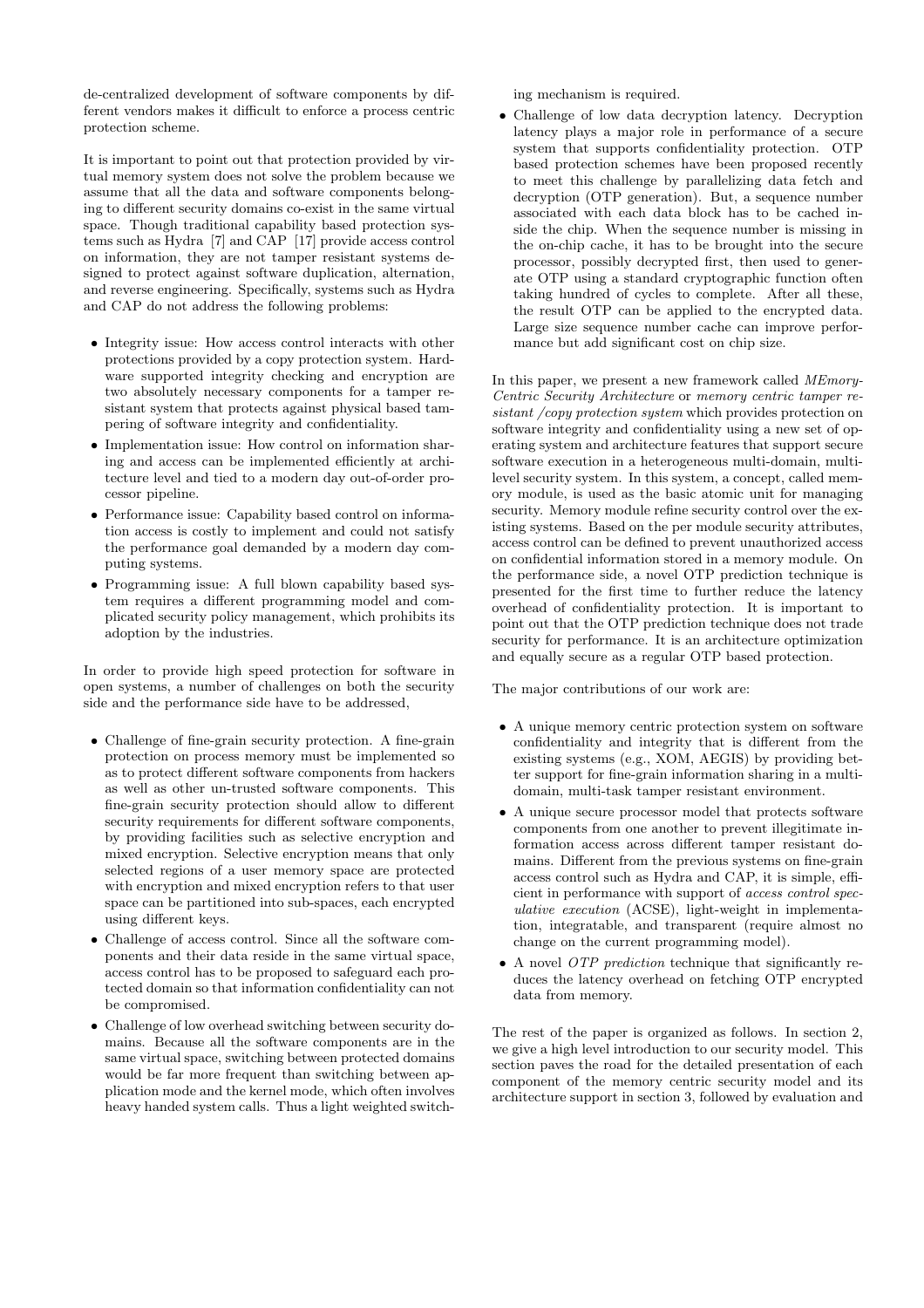de-centralized development of software components by different vendors makes it difficult to enforce a process centric protection scheme.

It is important to point out that protection provided by virtual memory system does not solve the problem because we assume that all the data and software components belonging to different security domains co-exist in the same virtual space. Though traditional capability based protection systems such as Hydra [7] and CAP [17] provide access control on information, they are not tamper resistant systems designed to protect against software duplication, alternation, and reverse engineering. Specifically, systems such as Hydra and CAP do not address the following problems:

- Integrity issue: How access control interacts with other protections provided by a copy protection system. Hardware supported integrity checking and encryption are two absolutely necessary components for a tamper resistant system that protects against physical based tampering of software integrity and confidentiality.
- Implementation issue: How control on information sharing and access can be implemented efficiently at architecture level and tied to a modern day out-of-order processor pipeline.
- Performance issue: Capability based control on information access is costly to implement and could not satisfy the performance goal demanded by a modern day computing systems.
- Programming issue: A full blown capability based system requires a different programming model and complicated security policy management, which prohibits its adoption by the industries.

In order to provide high speed protection for software in open systems, a number of challenges on both the security side and the performance side have to be addressed,

- Challenge of fine-grain security protection. A fine-grain protection on process memory must be implemented so as to protect different software components from hackers as well as other un-trusted software components. This fine-grain security protection should allow to different security requirements for different software components, by providing facilities such as selective encryption and mixed encryption. Selective encryption means that only selected regions of a user memory space are protected with encryption and mixed encryption refers to that user space can be partitioned into sub-spaces, each encrypted using different keys.
- Challenge of access control. Since all the software components and their data reside in the same virtual space, access control has to be proposed to safeguard each protected domain so that information confidentiality can not be compromised.
- Challenge of low overhead switching between security domains. Because all the software components are in the same virtual space, switching between protected domains would be far more frequent than switching between application mode and the kernel mode, which often involves heavy handed system calls. Thus a light weighted switch-

ing mechanism is required.

• Challenge of low data decryption latency. Decryption latency plays a major role in performance of a secure system that supports confidentiality protection. OTP based protection schemes have been proposed recently to meet this challenge by parallelizing data fetch and decryption (OTP generation). But, a sequence number associated with each data block has to be cached inside the chip. When the sequence number is missing in the on-chip cache, it has to be brought into the secure processor, possibly decrypted first, then used to generate OTP using a standard cryptographic function often taking hundred of cycles to complete. After all these, the result OTP can be applied to the encrypted data. Large size sequence number cache can improve performance but add significant cost on chip size.

In this paper, we present a new framework called MEmory-Centric Security Architecture or memory centric tamper resistant /copy protection system which provides protection on software integrity and confidentiality using a new set of operating system and architecture features that support secure software execution in a heterogeneous multi-domain, multilevel security system. In this system, a concept, called memory module, is used as the basic atomic unit for managing security. Memory module refine security control over the existing systems. Based on the per module security attributes, access control can be defined to prevent unauthorized access on confidential information stored in a memory module. On the performance side, a novel OTP prediction technique is presented for the first time to further reduce the latency overhead of confidentiality protection. It is important to point out that the OTP prediction technique does not trade security for performance. It is an architecture optimization and equally secure as a regular OTP based protection.

The major contributions of our work are:

- A unique memory centric protection system on software confidentiality and integrity that is different from the existing systems (e.g., XOM, AEGIS) by providing better support for fine-grain information sharing in a multidomain, multi-task tamper resistant environment.
- A unique secure processor model that protects software components from one another to prevent illegitimate information access across different tamper resistant domains. Different from the previous systems on fine-grain access control such as Hydra and CAP, it is simple, efficient in performance with support of access control speculative execution (ACSE), light-weight in implementation, integratable, and transparent (require almost no change on the current programming model).
- A novel OTP prediction technique that significantly reduces the latency overhead on fetching OTP encrypted data from memory.

The rest of the paper is organized as follows. In section 2, we give a high level introduction to our security model. This section paves the road for the detailed presentation of each component of the memory centric security model and its architecture support in section 3, followed by evaluation and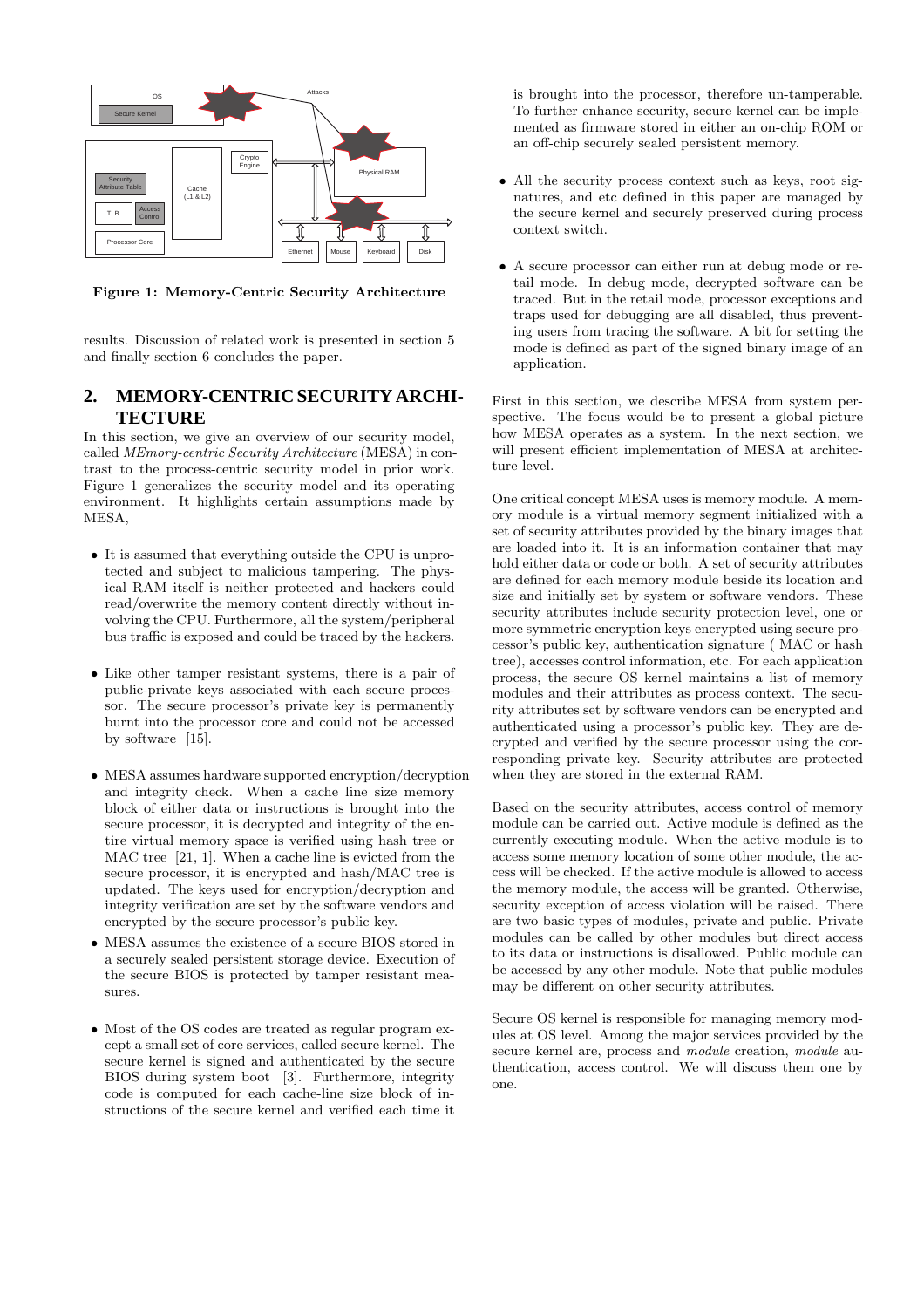

Figure 1: Memory-Centric Security Architecture

results. Discussion of related work is presented in section 5 and finally section 6 concludes the paper.

### **2. MEMORY-CENTRIC SECURITY ARCHI-TECTURE**

In this section, we give an overview of our security model, called MEmory-centric Security Architecture (MESA) in contrast to the process-centric security model in prior work. Figure 1 generalizes the security model and its operating environment. It highlights certain assumptions made by MESA,

- It is assumed that everything outside the CPU is unprotected and subject to malicious tampering. The physical RAM itself is neither protected and hackers could read/overwrite the memory content directly without involving the CPU. Furthermore, all the system/peripheral bus traffic is exposed and could be traced by the hackers.
- Like other tamper resistant systems, there is a pair of public-private keys associated with each secure processor. The secure processor's private key is permanently burnt into the processor core and could not be accessed by software [15].
- MESA assumes hardware supported encryption/decryption and integrity check. When a cache line size memory block of either data or instructions is brought into the secure processor, it is decrypted and integrity of the entire virtual memory space is verified using hash tree or MAC tree [21, 1]. When a cache line is evicted from the secure processor, it is encrypted and hash/MAC tree is updated. The keys used for encryption/decryption and integrity verification are set by the software vendors and encrypted by the secure processor's public key.
- MESA assumes the existence of a secure BIOS stored in a securely sealed persistent storage device. Execution of the secure BIOS is protected by tamper resistant measures.
- Most of the OS codes are treated as regular program except a small set of core services, called secure kernel. The secure kernel is signed and authenticated by the secure BIOS during system boot [3]. Furthermore, integrity code is computed for each cache-line size block of instructions of the secure kernel and verified each time it

is brought into the processor, therefore un-tamperable. To further enhance security, secure kernel can be implemented as firmware stored in either an on-chip ROM or an off-chip securely sealed persistent memory.

- All the security process context such as keys, root signatures, and etc defined in this paper are managed by the secure kernel and securely preserved during process context switch.
- A secure processor can either run at debug mode or retail mode. In debug mode, decrypted software can be traced. But in the retail mode, processor exceptions and traps used for debugging are all disabled, thus preventing users from tracing the software. A bit for setting the mode is defined as part of the signed binary image of an application.

First in this section, we describe MESA from system perspective. The focus would be to present a global picture how MESA operates as a system. In the next section, we will present efficient implementation of MESA at architecture level.

One critical concept MESA uses is memory module. A memory module is a virtual memory segment initialized with a set of security attributes provided by the binary images that are loaded into it. It is an information container that may hold either data or code or both. A set of security attributes are defined for each memory module beside its location and size and initially set by system or software vendors. These security attributes include security protection level, one or more symmetric encryption keys encrypted using secure processor's public key, authentication signature ( MAC or hash tree), accesses control information, etc. For each application process, the secure OS kernel maintains a list of memory modules and their attributes as process context. The security attributes set by software vendors can be encrypted and authenticated using a processor's public key. They are decrypted and verified by the secure processor using the corresponding private key. Security attributes are protected when they are stored in the external RAM.

Based on the security attributes, access control of memory module can be carried out. Active module is defined as the currently executing module. When the active module is to access some memory location of some other module, the access will be checked. If the active module is allowed to access the memory module, the access will be granted. Otherwise, security exception of access violation will be raised. There are two basic types of modules, private and public. Private modules can be called by other modules but direct access to its data or instructions is disallowed. Public module can be accessed by any other module. Note that public modules may be different on other security attributes.

Secure OS kernel is responsible for managing memory modules at OS level. Among the major services provided by the secure kernel are, process and *module* creation, *module* authentication, access control. We will discuss them one by one.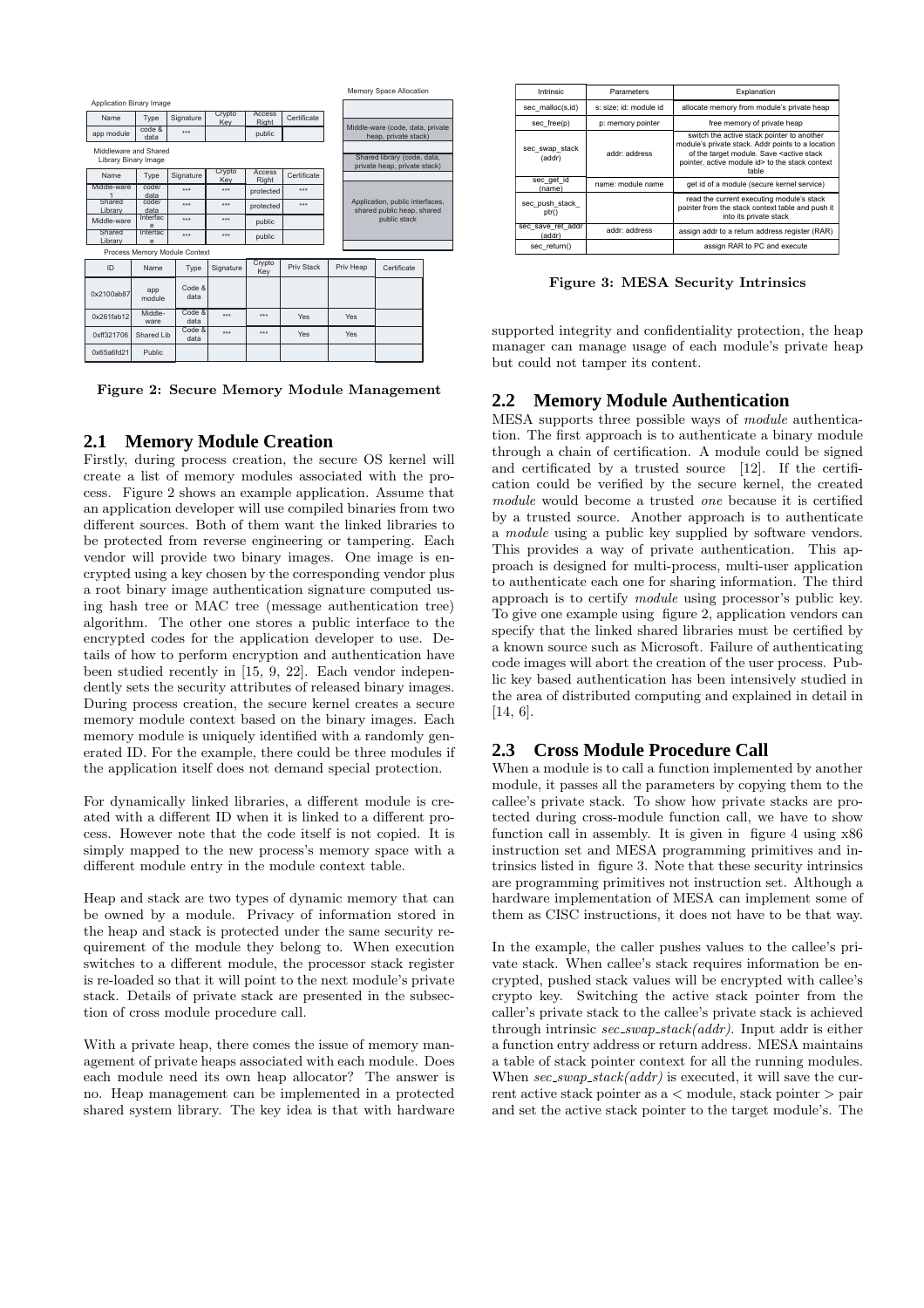|                               |                      |                |               |                 |             |     |                                                               | Memory Space Allocation                                     |  |
|-------------------------------|----------------------|----------------|---------------|-----------------|-------------|-----|---------------------------------------------------------------|-------------------------------------------------------------|--|
| Application Binary Image      |                      |                |               |                 |             |     |                                                               |                                                             |  |
| Name                          | Type                 | Signature      | Crypto<br>Kev | Access<br>Right | Certificate |     |                                                               |                                                             |  |
| app module                    | code &<br>data       | $***$          |               | public          |             |     | Middle-ware (code, data, private<br>heap, private stack)      |                                                             |  |
| Middleware and Shared         | Library Binary Image |                |               |                 |             |     |                                                               | Shared library (code, data,<br>private heap, private stack) |  |
| Name                          | Type                 | Signature      | Crypto<br>Kev | Access<br>Right | Certificate |     |                                                               |                                                             |  |
| Middle-ware                   | code/<br>data        | ***            | $***$         | protected       | ***         |     |                                                               |                                                             |  |
| Shared<br>Library             | code/<br>data        | ***            | $***$         | protected       | ***         |     | Application, public interfaces,<br>shared public heap, shared |                                                             |  |
| Middle-ware                   | Interfac<br>e        | ***            | $***$         | public          |             |     | public stack                                                  |                                                             |  |
| Shared<br>Library             | Intertac<br>e        | ***            | $***$         | public          |             |     |                                                               |                                                             |  |
| Process Memory Module Context |                      |                |               |                 |             |     |                                                               |                                                             |  |
| ID                            | <b>Name</b>          | Type           | Signature     | Crypto<br>Key   | Priv Stack  |     | Priv Heap                                                     | Certificate                                                 |  |
| 0x2100ab87                    | app<br>module        | Code &<br>data |               |                 |             |     |                                                               |                                                             |  |
| 0x261fab12                    | Middle-<br>ware      | Code &<br>data | $***$         | $***$           | Yes         |     | Yes                                                           |                                                             |  |
| 0xff321706                    | Shared Lib           | Code &<br>data | ***           | ***             | Yes         | Yes |                                                               |                                                             |  |
| 0x65a6fd21                    | Public               |                |               |                 |             |     |                                                               |                                                             |  |

Figure 2: Secure Memory Module Management

# **2.1 Memory Module Creation**

Firstly, during process creation, the secure OS kernel will create a list of memory modules associated with the process. Figure 2 shows an example application. Assume that an application developer will use compiled binaries from two different sources. Both of them want the linked libraries to be protected from reverse engineering or tampering. Each vendor will provide two binary images. One image is encrypted using a key chosen by the corresponding vendor plus a root binary image authentication signature computed using hash tree or MAC tree (message authentication tree) algorithm. The other one stores a public interface to the encrypted codes for the application developer to use. Details of how to perform encryption and authentication have been studied recently in [15, 9, 22]. Each vendor independently sets the security attributes of released binary images. During process creation, the secure kernel creates a secure memory module context based on the binary images. Each memory module is uniquely identified with a randomly generated ID. For the example, there could be three modules if the application itself does not demand special protection.

For dynamically linked libraries, a different module is created with a different ID when it is linked to a different process. However note that the code itself is not copied. It is simply mapped to the new process's memory space with a different module entry in the module context table.

Heap and stack are two types of dynamic memory that can be owned by a module. Privacy of information stored in the heap and stack is protected under the same security requirement of the module they belong to. When execution switches to a different module, the processor stack register is re-loaded so that it will point to the next module's private stack. Details of private stack are presented in the subsection of cross module procedure call.

With a private heap, there comes the issue of memory management of private heaps associated with each module. Does each module need its own heap allocator? The answer is no. Heap management can be implemented in a protected shared system library. The key idea is that with hardware

| Intrinsic                   | <b>Parameters</b>      | Explanation                                                                                                                                                                                                             |  |  |  |
|-----------------------------|------------------------|-------------------------------------------------------------------------------------------------------------------------------------------------------------------------------------------------------------------------|--|--|--|
| sec malloc(s,id)            | s: size; id: module id | allocate memory from module's private heap                                                                                                                                                                              |  |  |  |
| sec free(p)                 | p: memory pointer      | free memory of private heap                                                                                                                                                                                             |  |  |  |
| sec swap stack<br>(addr)    | addr: address          | switch the active stack pointer to another<br>module's private stack. Addr points to a location<br>of the target module. Save <active stack<br="">pointer, active module id&gt; to the stack context<br/>table</active> |  |  |  |
| sec get id<br>(name)        | name: module name      | get id of a module (secure kernel service)                                                                                                                                                                              |  |  |  |
| sec push stack<br>ptr()     |                        | read the current executing module's stack<br>pointer from the stack context table and push it<br>into its private stack                                                                                                 |  |  |  |
| sec save ret addr<br>(addr) | addr: address          | assign addr to a return address register (RAR)                                                                                                                                                                          |  |  |  |
| sec return()                |                        | assign RAR to PC and execute                                                                                                                                                                                            |  |  |  |
|                             |                        |                                                                                                                                                                                                                         |  |  |  |

Figure 3: MESA Security Intrinsics

supported integrity and confidentiality protection, the heap manager can manage usage of each module's private heap but could not tamper its content.

# **2.2 Memory Module Authentication**

MESA supports three possible ways of module authentication. The first approach is to authenticate a binary module through a chain of certification. A module could be signed and certificated by a trusted source [12]. If the certification could be verified by the secure kernel, the created module would become a trusted one because it is certified by a trusted source. Another approach is to authenticate a module using a public key supplied by software vendors. This provides a way of private authentication. This approach is designed for multi-process, multi-user application to authenticate each one for sharing information. The third approach is to certify module using processor's public key. To give one example using figure 2, application vendors can specify that the linked shared libraries must be certified by a known source such as Microsoft. Failure of authenticating code images will abort the creation of the user process. Public key based authentication has been intensively studied in the area of distributed computing and explained in detail in [14, 6].

# **2.3 Cross Module Procedure Call**

When a module is to call a function implemented by another module, it passes all the parameters by copying them to the callee's private stack. To show how private stacks are protected during cross-module function call, we have to show function call in assembly. It is given in figure 4 using x86 instruction set and MESA programming primitives and intrinsics listed in figure 3. Note that these security intrinsics are programming primitives not instruction set. Although a hardware implementation of MESA can implement some of them as CISC instructions, it does not have to be that way.

In the example, the caller pushes values to the callee's private stack. When callee's stack requires information be encrypted, pushed stack values will be encrypted with callee's crypto key. Switching the active stack pointer from the caller's private stack to the callee's private stack is achieved through intrinsic  $sec\_swap\_stack(addr)$ . Input addr is either a function entry address or return address. MESA maintains a table of stack pointer context for all the running modules. When  $sec\_swap\_stack(addr)$  is executed, it will save the current active stack pointer as a < module, stack pointer > pair and set the active stack pointer to the target module's. The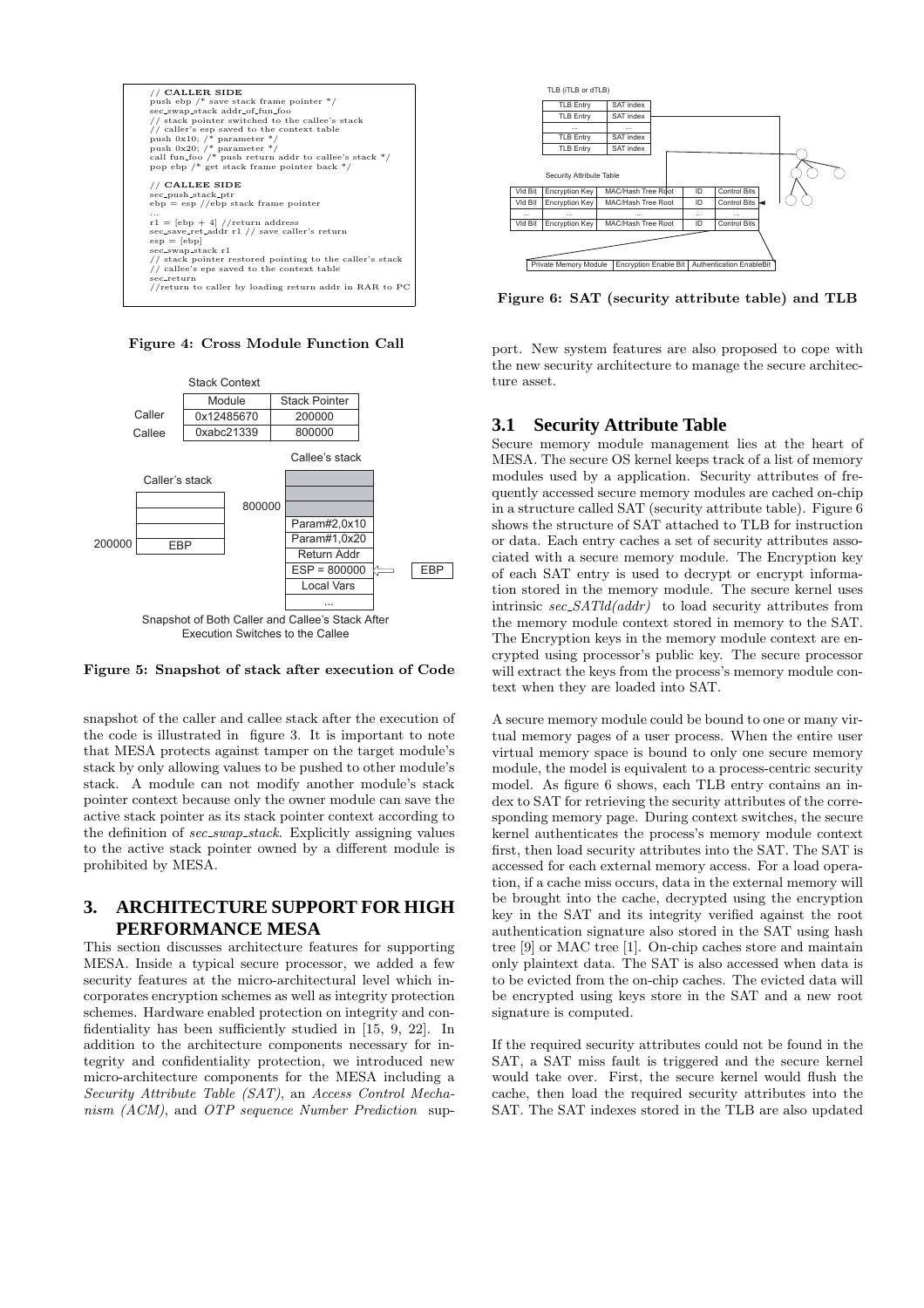

Figure 4: Cross Module Function Call



Figure 5: Snapshot of stack after execution of Code

snapshot of the caller and callee stack after the execution of the code is illustrated in figure 3. It is important to note that MESA protects against tamper on the target module's stack by only allowing values to be pushed to other module's stack. A module can not modify another module's stack pointer context because only the owner module can save the active stack pointer as its stack pointer context according to the definition of sec\_swap\_stack. Explicitly assigning values to the active stack pointer owned by a different module is prohibited by MESA.

# **3. ARCHITECTURE SUPPORT FOR HIGH PERFORMANCE MESA**

This section discusses architecture features for supporting MESA. Inside a typical secure processor, we added a few security features at the micro-architectural level which incorporates encryption schemes as well as integrity protection schemes. Hardware enabled protection on integrity and confidentiality has been sufficiently studied in [15, 9, 22]. In addition to the architecture components necessary for integrity and confidentiality protection, we introduced new micro-architecture components for the MESA including a Security Attribute Table (SAT), an Access Control Mechanism (ACM), and OTP sequence Number Prediction sup-



Figure 6: SAT (security attribute table) and TLB

port. New system features are also proposed to cope with the new security architecture to manage the secure architecture asset.

# **3.1 Security Attribute Table**

Secure memory module management lies at the heart of MESA. The secure OS kernel keeps track of a list of memory modules used by a application. Security attributes of frequently accessed secure memory modules are cached on-chip in a structure called SAT (security attribute table). Figure 6 shows the structure of SAT attached to TLB for instruction or data. Each entry caches a set of security attributes associated with a secure memory module. The Encryption key of each SAT entry is used to decrypt or encrypt information stored in the memory module. The secure kernel uses intrinsic  $sec\_SATld (addr)$  to load security attributes from the memory module context stored in memory to the SAT. The Encryption keys in the memory module context are encrypted using processor's public key. The secure processor will extract the keys from the process's memory module context when they are loaded into SAT.

A secure memory module could be bound to one or many virtual memory pages of a user process. When the entire user virtual memory space is bound to only one secure memory module, the model is equivalent to a process-centric security model. As figure 6 shows, each TLB entry contains an index to SAT for retrieving the security attributes of the corresponding memory page. During context switches, the secure kernel authenticates the process's memory module context first, then load security attributes into the SAT. The SAT is accessed for each external memory access. For a load operation, if a cache miss occurs, data in the external memory will be brought into the cache, decrypted using the encryption key in the SAT and its integrity verified against the root authentication signature also stored in the SAT using hash tree [9] or MAC tree [1]. On-chip caches store and maintain only plaintext data. The SAT is also accessed when data is to be evicted from the on-chip caches. The evicted data will be encrypted using keys store in the SAT and a new root signature is computed.

If the required security attributes could not be found in the SAT, a SAT miss fault is triggered and the secure kernel would take over. First, the secure kernel would flush the cache, then load the required security attributes into the SAT. The SAT indexes stored in the TLB are also updated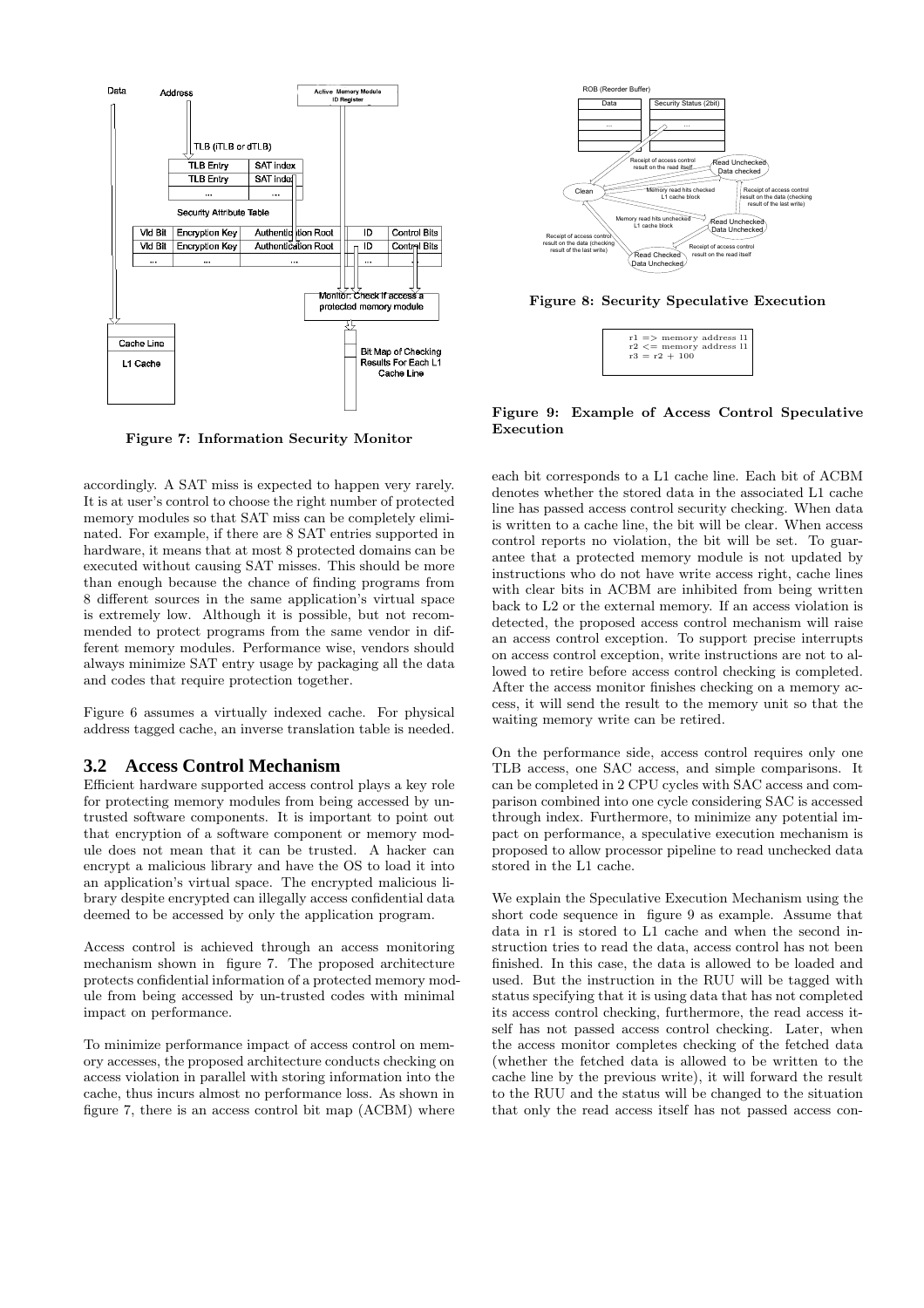

Figure 7: Information Security Monitor

accordingly. A SAT miss is expected to happen very rarely. It is at user's control to choose the right number of protected memory modules so that SAT miss can be completely eliminated. For example, if there are 8 SAT entries supported in hardware, it means that at most 8 protected domains can be executed without causing SAT misses. This should be more than enough because the chance of finding programs from 8 different sources in the same application's virtual space is extremely low. Although it is possible, but not recommended to protect programs from the same vendor in different memory modules. Performance wise, vendors should always minimize SAT entry usage by packaging all the data and codes that require protection together.

Figure 6 assumes a virtually indexed cache. For physical address tagged cache, an inverse translation table is needed.

#### **3.2 Access Control Mechanism**

Efficient hardware supported access control plays a key role for protecting memory modules from being accessed by untrusted software components. It is important to point out that encryption of a software component or memory module does not mean that it can be trusted. A hacker can encrypt a malicious library and have the OS to load it into an application's virtual space. The encrypted malicious library despite encrypted can illegally access confidential data deemed to be accessed by only the application program.

Access control is achieved through an access monitoring mechanism shown in figure 7. The proposed architecture protects confidential information of a protected memory module from being accessed by un-trusted codes with minimal impact on performance.

To minimize performance impact of access control on memory accesses, the proposed architecture conducts checking on access violation in parallel with storing information into the cache, thus incurs almost no performance loss. As shown in figure 7, there is an access control bit map (ACBM) where



Figure 8: Security Speculative Execution

| $r2 \leq$ memory address 11<br>$r3 = r2 + 100$ |
|------------------------------------------------|
|------------------------------------------------|

Figure 9: Example of Access Control Speculative Execution

each bit corresponds to a L1 cache line. Each bit of ACBM denotes whether the stored data in the associated L1 cache line has passed access control security checking. When data is written to a cache line, the bit will be clear. When access control reports no violation, the bit will be set. To guarantee that a protected memory module is not updated by instructions who do not have write access right, cache lines with clear bits in ACBM are inhibited from being written back to L2 or the external memory. If an access violation is detected, the proposed access control mechanism will raise an access control exception. To support precise interrupts on access control exception, write instructions are not to allowed to retire before access control checking is completed. After the access monitor finishes checking on a memory access, it will send the result to the memory unit so that the waiting memory write can be retired.

On the performance side, access control requires only one TLB access, one SAC access, and simple comparisons. It can be completed in 2 CPU cycles with SAC access and comparison combined into one cycle considering SAC is accessed through index. Furthermore, to minimize any potential impact on performance, a speculative execution mechanism is proposed to allow processor pipeline to read unchecked data stored in the L1 cache.

We explain the Speculative Execution Mechanism using the short code sequence in figure 9 as example. Assume that data in r1 is stored to L1 cache and when the second instruction tries to read the data, access control has not been finished. In this case, the data is allowed to be loaded and used. But the instruction in the RUU will be tagged with status specifying that it is using data that has not completed its access control checking, furthermore, the read access itself has not passed access control checking. Later, when the access monitor completes checking of the fetched data (whether the fetched data is allowed to be written to the cache line by the previous write), it will forward the result to the RUU and the status will be changed to the situation that only the read access itself has not passed access con-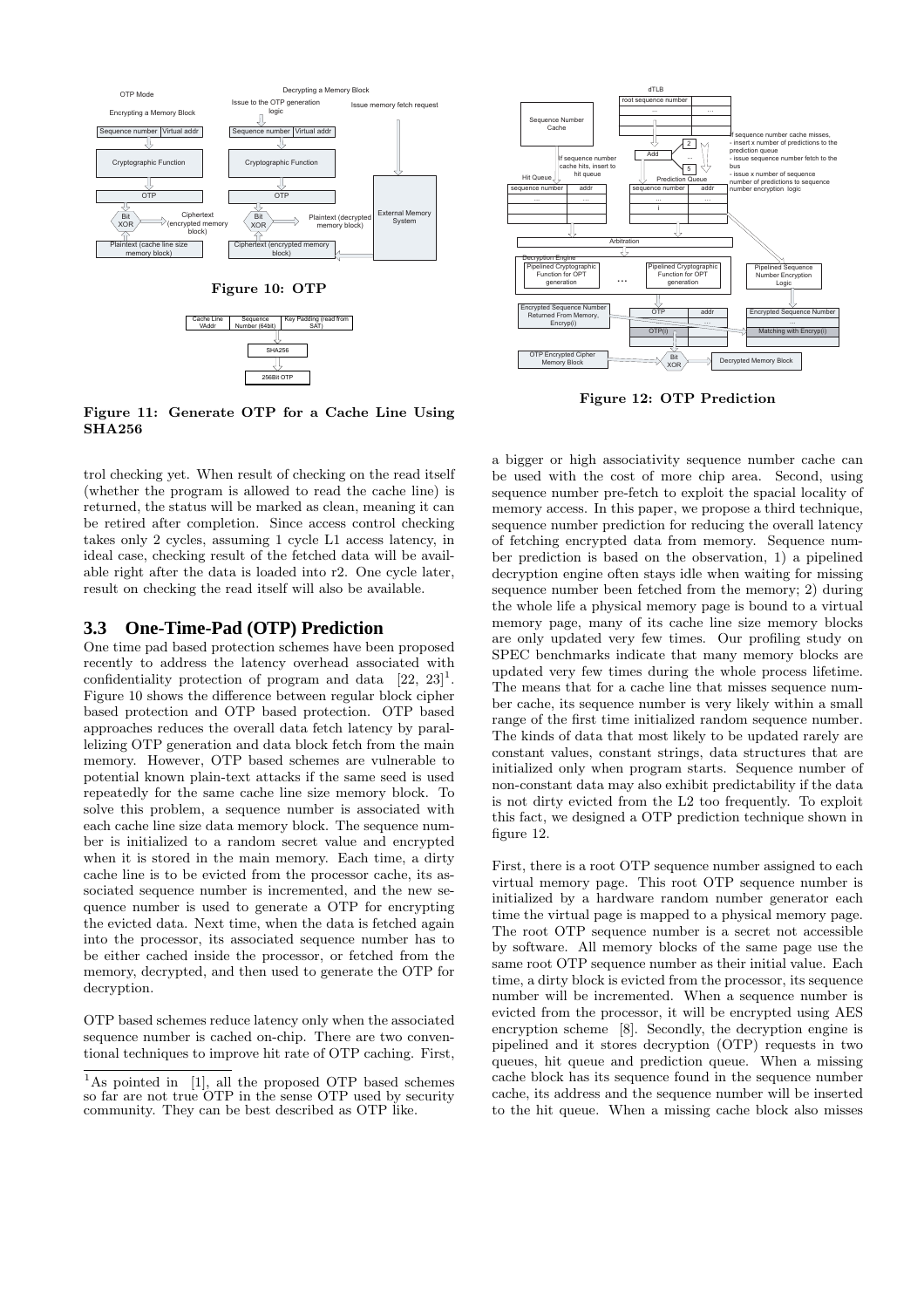

Figure 11: Generate OTP for a Cache Line Using SHA256

trol checking yet. When result of checking on the read itself (whether the program is allowed to read the cache line) is returned, the status will be marked as clean, meaning it can be retired after completion. Since access control checking takes only 2 cycles, assuming 1 cycle L1 access latency, in ideal case, checking result of the fetched data will be available right after the data is loaded into r2. One cycle later, result on checking the read itself will also be available.

#### **3.3 One-Time-Pad (OTP) Prediction**

One time pad based protection schemes have been proposed recently to address the latency overhead associated with confidentiality protection of program and data  $[22, 23]$ <sup>1</sup>. Figure 10 shows the difference between regular block cipher based protection and OTP based protection. OTP based approaches reduces the overall data fetch latency by parallelizing OTP generation and data block fetch from the main memory. However, OTP based schemes are vulnerable to potential known plain-text attacks if the same seed is used repeatedly for the same cache line size memory block. To solve this problem, a sequence number is associated with each cache line size data memory block. The sequence number is initialized to a random secret value and encrypted when it is stored in the main memory. Each time, a dirty cache line is to be evicted from the processor cache, its associated sequence number is incremented, and the new sequence number is used to generate a OTP for encrypting the evicted data. Next time, when the data is fetched again into the processor, its associated sequence number has to be either cached inside the processor, or fetched from the memory, decrypted, and then used to generate the OTP for decryption.

OTP based schemes reduce latency only when the associated sequence number is cached on-chip. There are two conventional techniques to improve hit rate of OTP caching. First,



Figure 12: OTP Prediction

a bigger or high associativity sequence number cache can be used with the cost of more chip area. Second, using sequence number pre-fetch to exploit the spacial locality of memory access. In this paper, we propose a third technique, sequence number prediction for reducing the overall latency of fetching encrypted data from memory. Sequence number prediction is based on the observation, 1) a pipelined decryption engine often stays idle when waiting for missing sequence number been fetched from the memory; 2) during the whole life a physical memory page is bound to a virtual memory page, many of its cache line size memory blocks are only updated very few times. Our profiling study on SPEC benchmarks indicate that many memory blocks are updated very few times during the whole process lifetime. The means that for a cache line that misses sequence number cache, its sequence number is very likely within a small range of the first time initialized random sequence number. The kinds of data that most likely to be updated rarely are constant values, constant strings, data structures that are initialized only when program starts. Sequence number of non-constant data may also exhibit predictability if the data is not dirty evicted from the L2 too frequently. To exploit this fact, we designed a OTP prediction technique shown in figure 12.

First, there is a root OTP sequence number assigned to each virtual memory page. This root OTP sequence number is initialized by a hardware random number generator each time the virtual page is mapped to a physical memory page. The root OTP sequence number is a secret not accessible by software. All memory blocks of the same page use the same root OTP sequence number as their initial value. Each time, a dirty block is evicted from the processor, its sequence number will be incremented. When a sequence number is evicted from the processor, it will be encrypted using AES encryption scheme [8]. Secondly, the decryption engine is pipelined and it stores decryption (OTP) requests in two queues, hit queue and prediction queue. When a missing cache block has its sequence found in the sequence number cache, its address and the sequence number will be inserted to the hit queue. When a missing cache block also misses

<sup>&</sup>lt;sup>1</sup>As pointed in [1], all the proposed OTP based schemes so far are not true OTP in the sense OTP used by security community. They can be best described as OTP like.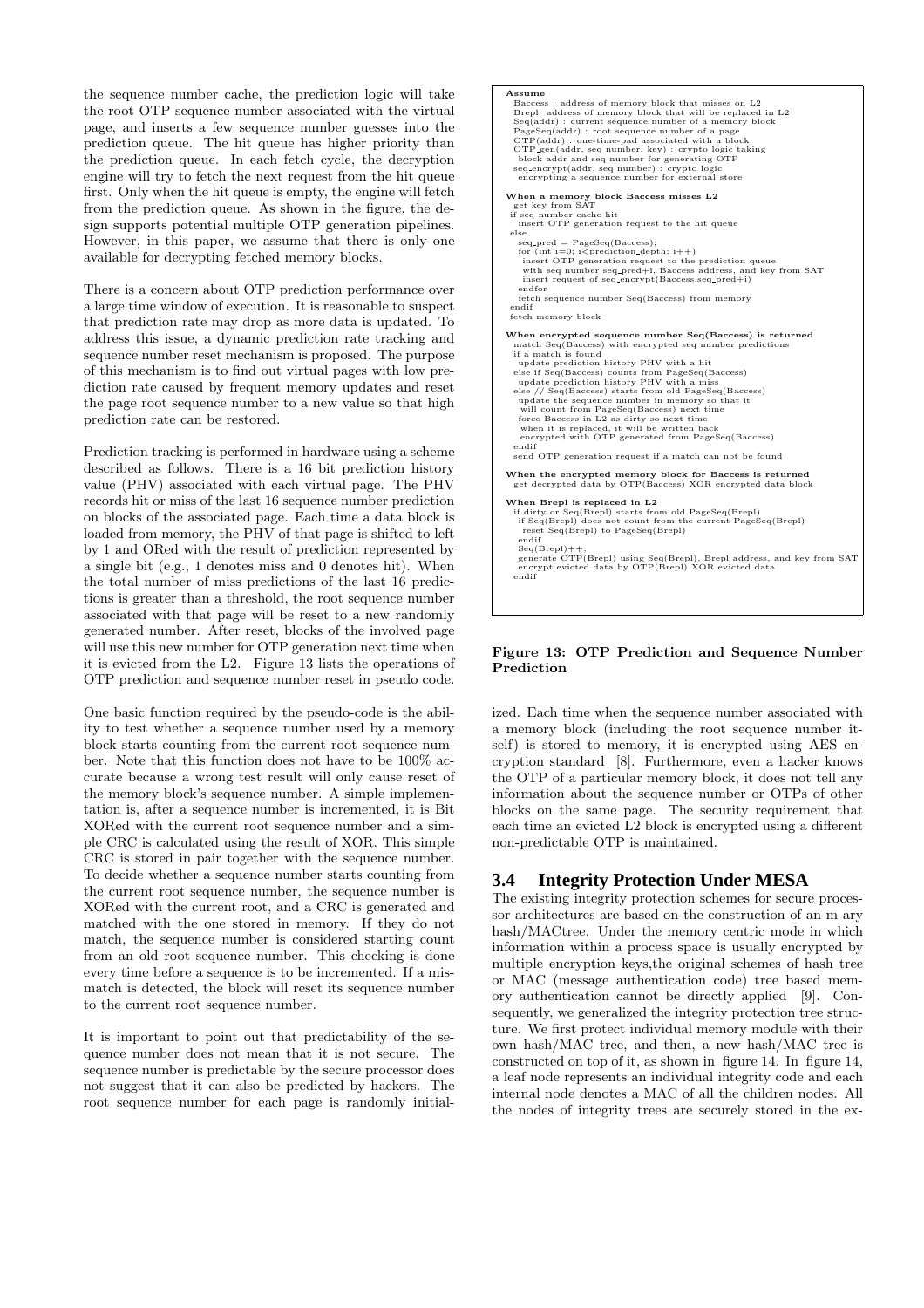the sequence number cache, the prediction logic will take the root OTP sequence number associated with the virtual page, and inserts a few sequence number guesses into the prediction queue. The hit queue has higher priority than the prediction queue. In each fetch cycle, the decryption engine will try to fetch the next request from the hit queue first. Only when the hit queue is empty, the engine will fetch from the prediction queue. As shown in the figure, the design supports potential multiple OTP generation pipelines. However, in this paper, we assume that there is only one available for decrypting fetched memory blocks.

There is a concern about OTP prediction performance over a large time window of execution. It is reasonable to suspect that prediction rate may drop as more data is updated. To address this issue, a dynamic prediction rate tracking and sequence number reset mechanism is proposed. The purpose of this mechanism is to find out virtual pages with low prediction rate caused by frequent memory updates and reset the page root sequence number to a new value so that high prediction rate can be restored.

Prediction tracking is performed in hardware using a scheme described as follows. There is a 16 bit prediction history value (PHV) associated with each virtual page. The PHV records hit or miss of the last 16 sequence number prediction on blocks of the associated page. Each time a data block is loaded from memory, the PHV of that page is shifted to left by 1 and ORed with the result of prediction represented by a single bit (e.g., 1 denotes miss and 0 denotes hit). When the total number of miss predictions of the last 16 predictions is greater than a threshold, the root sequence number associated with that page will be reset to a new randomly generated number. After reset, blocks of the involved page will use this new number for OTP generation next time when it is evicted from the L2. Figure 13 lists the operations of OTP prediction and sequence number reset in pseudo code.

One basic function required by the pseudo-code is the ability to test whether a sequence number used by a memory block starts counting from the current root sequence number. Note that this function does not have to be 100% accurate because a wrong test result will only cause reset of the memory block's sequence number. A simple implementation is, after a sequence number is incremented, it is Bit XORed with the current root sequence number and a simple CRC is calculated using the result of XOR. This simple CRC is stored in pair together with the sequence number. To decide whether a sequence number starts counting from the current root sequence number, the sequence number is XORed with the current root, and a CRC is generated and matched with the one stored in memory. If they do not match, the sequence number is considered starting count from an old root sequence number. This checking is done every time before a sequence is to be incremented. If a mismatch is detected, the block will reset its sequence number to the current root sequence number.

It is important to point out that predictability of the sequence number does not mean that it is not secure. The sequence number is predictable by the secure processor does not suggest that it can also be predicted by hackers. The root sequence number for each page is randomly initial-



#### Figure 13: OTP Prediction and Sequence Number Prediction

ized. Each time when the sequence number associated with a memory block (including the root sequence number itself) is stored to memory, it is encrypted using AES encryption standard [8]. Furthermore, even a hacker knows the OTP of a particular memory block, it does not tell any information about the sequence number or OTPs of other blocks on the same page. The security requirement that each time an evicted L2 block is encrypted using a different non-predictable OTP is maintained.

# **3.4 Integrity Protection Under MESA**

The existing integrity protection schemes for secure processor architectures are based on the construction of an m-ary hash/MACtree. Under the memory centric mode in which information within a process space is usually encrypted by multiple encryption keys,the original schemes of hash tree or MAC (message authentication code) tree based memory authentication cannot be directly applied [9]. Consequently, we generalized the integrity protection tree structure. We first protect individual memory module with their own hash/MAC tree, and then, a new hash/MAC tree is constructed on top of it, as shown in figure 14. In figure 14, a leaf node represents an individual integrity code and each internal node denotes a MAC of all the children nodes. All the nodes of integrity trees are securely stored in the ex-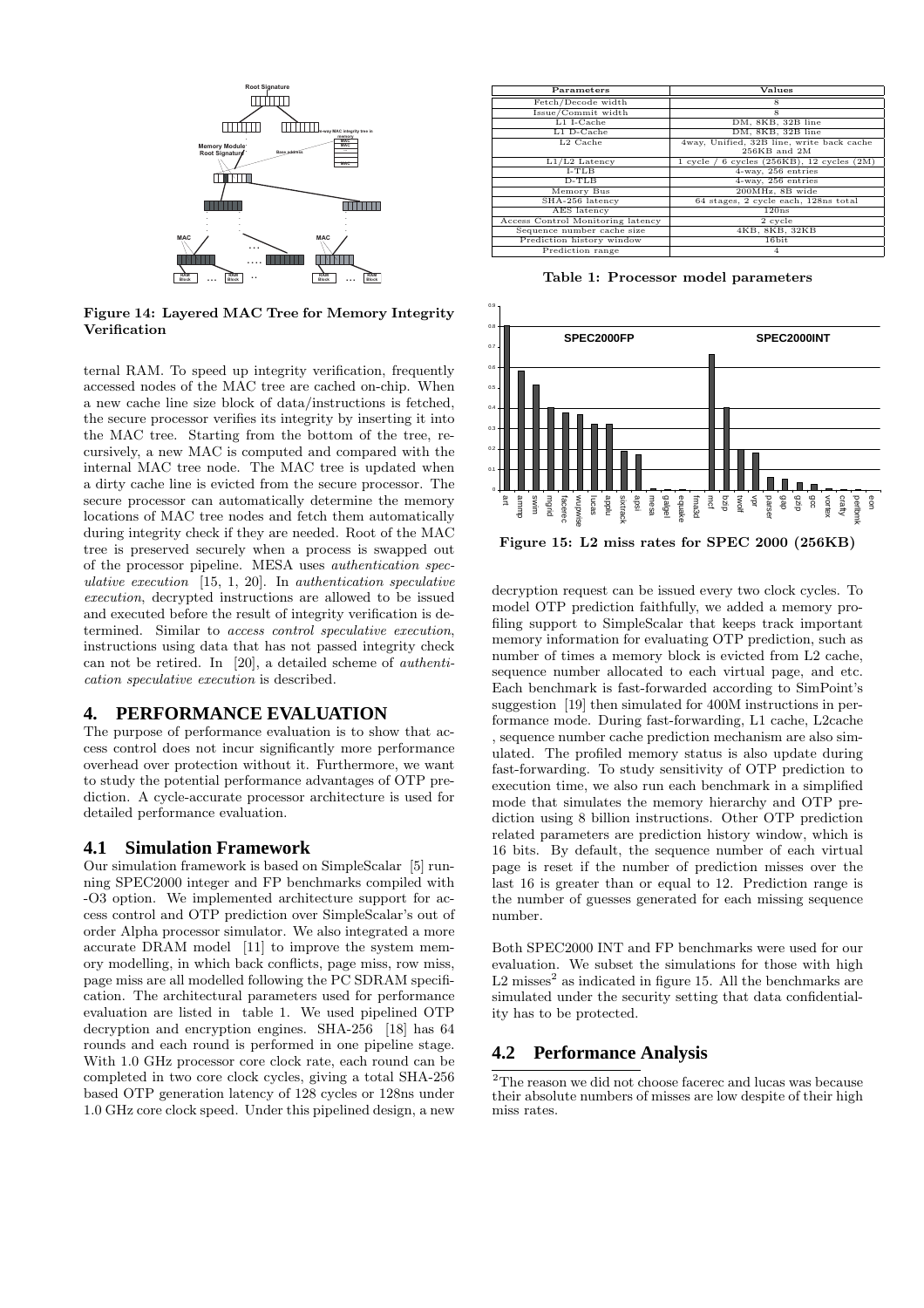

Figure 14: Layered MAC Tree for Memory Integrity Verification

ternal RAM. To speed up integrity verification, frequently accessed nodes of the MAC tree are cached on-chip. When a new cache line size block of data/instructions is fetched, the secure processor verifies its integrity by inserting it into the MAC tree. Starting from the bottom of the tree, recursively, a new MAC is computed and compared with the internal MAC tree node. The MAC tree is updated when a dirty cache line is evicted from the secure processor. The secure processor can automatically determine the memory locations of MAC tree nodes and fetch them automatically during integrity check if they are needed. Root of the MAC tree is preserved securely when a process is swapped out of the processor pipeline. MESA uses authentication speculative execution  $[15, 1, 20]$ . In authentication speculative execution, decrypted instructions are allowed to be issued and executed before the result of integrity verification is determined. Similar to access control speculative execution, instructions using data that has not passed integrity check can not be retired. In [20], a detailed scheme of authentication speculative execution is described.

### **4. PERFORMANCE EVALUATION**

The purpose of performance evaluation is to show that access control does not incur significantly more performance overhead over protection without it. Furthermore, we want to study the potential performance advantages of OTP prediction. A cycle-accurate processor architecture is used for detailed performance evaluation.

#### **4.1 Simulation Framework**

Our simulation framework is based on SimpleScalar [5] running SPEC2000 integer and FP benchmarks compiled with -O3 option. We implemented architecture support for access control and OTP prediction over SimpleScalar's out of order Alpha processor simulator. We also integrated a more accurate DRAM model [11] to improve the system memory modelling, in which back conflicts, page miss, row miss, page miss are all modelled following the PC SDRAM specification. The architectural parameters used for performance evaluation are listed in table 1. We used pipelined OTP decryption and encryption engines. SHA-256 [18] has 64 rounds and each round is performed in one pipeline stage. With 1.0 GHz processor core clock rate, each round can be completed in two core clock cycles, giving a total SHA-256 based OTP generation latency of 128 cycles or 128ns under 1.0 GHz core clock speed. Under this pipelined design, a new

| Parameters                        | Values                                       |
|-----------------------------------|----------------------------------------------|
| Fetch/Decode width                | 8                                            |
| Issue/Commit width                | 8                                            |
| $L1$ I-Cache                      | DM, 8KB, 32B line                            |
| $L1$ D-Cache                      | DM, 8KB, 32B line                            |
| L2 Cache                          | 4way, Unified, 32B line, write back cache    |
|                                   | 256KB and 2M                                 |
| $L1/L2$ Latency                   | $1$ cycle / 6 cycles (256KB), 12 cycles (2M) |
| $I-TLB$                           | 4-way, 256 entries                           |
| $D-TLB$                           | 4-way, 256 entries                           |
| Memory Bus                        | 200MHz, 8B wide                              |
| SHA-256 latency                   | 64 stages, 2 cycle each, 128ns total         |
| AES latency                       | 120ns                                        |
| Access Control Monitoring latency | 2 cycle                                      |
| Sequence number cache size        | 4KB, 8KB, 32KB                               |
| Prediction history window         | 16bit                                        |
| Prediction range                  | 4                                            |

Table 1: Processor model parameters



decryption request can be issued every two clock cycles. To model OTP prediction faithfully, we added a memory profiling support to SimpleScalar that keeps track important memory information for evaluating OTP prediction, such as number of times a memory block is evicted from L2 cache, sequence number allocated to each virtual page, and etc. Each benchmark is fast-forwarded according to SimPoint's suggestion [19] then simulated for 400M instructions in performance mode. During fast-forwarding, L1 cache, L2cache , sequence number cache prediction mechanism are also simulated. The profiled memory status is also update during fast-forwarding. To study sensitivity of OTP prediction to execution time, we also run each benchmark in a simplified mode that simulates the memory hierarchy and OTP prediction using 8 billion instructions. Other OTP prediction related parameters are prediction history window, which is 16 bits. By default, the sequence number of each virtual page is reset if the number of prediction misses over the last 16 is greater than or equal to 12. Prediction range is the number of guesses generated for each missing sequence number.

Both SPEC2000 INT and FP benchmarks were used for our evaluation. We subset the simulations for those with high  $L2$  misses<sup>2</sup> as indicated in figure 15. All the benchmarks are simulated under the security setting that data confidentiality has to be protected.

### **4.2 Performance Analysis**

 $\rm{^2The}$  reason we did not choose facerec and lucas was because their absolute numbers of misses are low despite of their high miss rates.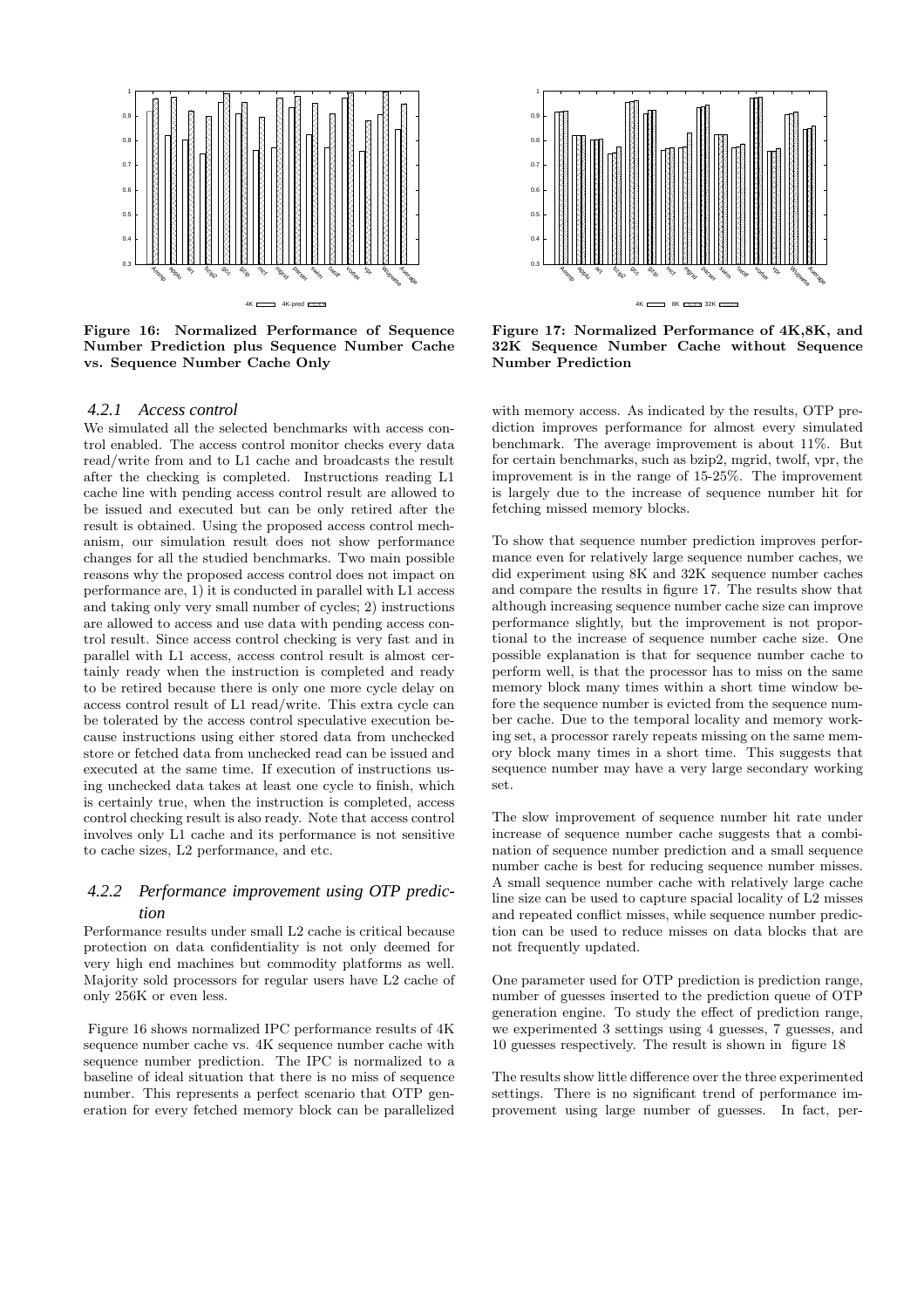

Figure 16: Normalized Performance of Sequence Number Prediction plus Sequence Number Cache vs. Sequence Number Cache Only

#### *4.2.1 Access control*

We simulated all the selected benchmarks with access control enabled. The access control monitor checks every data read/write from and to L1 cache and broadcasts the result after the checking is completed. Instructions reading L1 cache line with pending access control result are allowed to be issued and executed but can be only retired after the result is obtained. Using the proposed access control mechanism, our simulation result does not show performance changes for all the studied benchmarks. Two main possible reasons why the proposed access control does not impact on performance are, 1) it is conducted in parallel with L1 access and taking only very small number of cycles; 2) instructions are allowed to access and use data with pending access control result. Since access control checking is very fast and in parallel with L1 access, access control result is almost certainly ready when the instruction is completed and ready to be retired because there is only one more cycle delay on access control result of L1 read/write. This extra cycle can be tolerated by the access control speculative execution because instructions using either stored data from unchecked store or fetched data from unchecked read can be issued and executed at the same time. If execution of instructions using unchecked data takes at least one cycle to finish, which is certainly true, when the instruction is completed, access control checking result is also ready. Note that access control involves only L1 cache and its performance is not sensitive to cache sizes, L2 performance, and etc.

### *4.2.2 Performance improvement using OTP prediction*

Performance results under small L2 cache is critical because protection on data confidentiality is not only deemed for very high end machines but commodity platforms as well. Majority sold processors for regular users have L2 cache of only 256K or even less.

Figure 16 shows normalized IPC performance results of 4K sequence number cache vs. 4K sequence number cache with sequence number prediction. The IPC is normalized to a baseline of ideal situation that there is no miss of sequence number. This represents a perfect scenario that OTP generation for every fetched memory block can be parallelized



Figure 17: Normalized Performance of 4K,8K, and 32K Sequence Number Cache without Sequence Number Prediction

with memory access. As indicated by the results, OTP prediction improves performance for almost every simulated benchmark. The average improvement is about 11%. But for certain benchmarks, such as bzip2, mgrid, twolf, vpr, the improvement is in the range of 15-25%. The improvement is largely due to the increase of sequence number hit for fetching missed memory blocks.

To show that sequence number prediction improves performance even for relatively large sequence number caches, we did experiment using 8K and 32K sequence number caches and compare the results in figure 17. The results show that although increasing sequence number cache size can improve performance slightly, but the improvement is not proportional to the increase of sequence number cache size. One possible explanation is that for sequence number cache to perform well, is that the processor has to miss on the same memory block many times within a short time window before the sequence number is evicted from the sequence number cache. Due to the temporal locality and memory working set, a processor rarely repeats missing on the same memory block many times in a short time. This suggests that sequence number may have a very large secondary working set.

The slow improvement of sequence number hit rate under increase of sequence number cache suggests that a combination of sequence number prediction and a small sequence number cache is best for reducing sequence number misses. A small sequence number cache with relatively large cache line size can be used to capture spacial locality of L2 misses and repeated conflict misses, while sequence number prediction can be used to reduce misses on data blocks that are not frequently updated.

One parameter used for OTP prediction is prediction range, number of guesses inserted to the prediction queue of OTP generation engine. To study the effect of prediction range, we experimented 3 settings using 4 guesses, 7 guesses, and 10 guesses respectively. The result is shown in figure 18

The results show little difference over the three experimented settings. There is no significant trend of performance improvement using large number of guesses. In fact, per-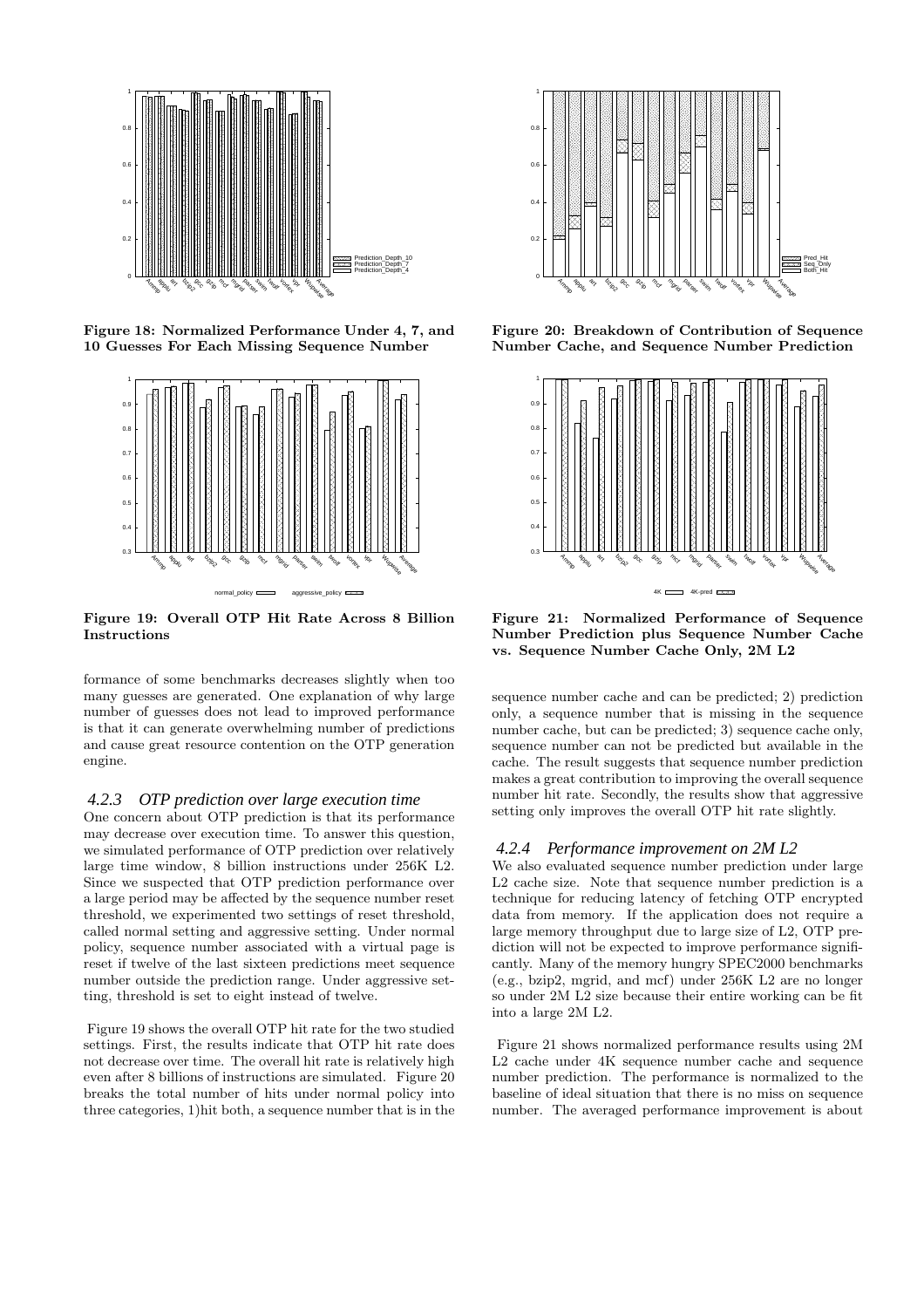

Figure 18: Normalized Performance Under 4, 7, and 10 Guesses For Each Missing Sequence Number



Figure 19: Overall OTP Hit Rate Across 8 Billion Instructions

formance of some benchmarks decreases slightly when too many guesses are generated. One explanation of why large number of guesses does not lead to improved performance is that it can generate overwhelming number of predictions and cause great resource contention on the OTP generation engine.

#### *4.2.3 OTP prediction over large execution time*

One concern about OTP prediction is that its performance may decrease over execution time. To answer this question, we simulated performance of OTP prediction over relatively large time window, 8 billion instructions under 256K L2. Since we suspected that OTP prediction performance over a large period may be affected by the sequence number reset threshold, we experimented two settings of reset threshold, called normal setting and aggressive setting. Under normal policy, sequence number associated with a virtual page is reset if twelve of the last sixteen predictions meet sequence number outside the prediction range. Under aggressive setting, threshold is set to eight instead of twelve.

Figure 19 shows the overall OTP hit rate for the two studied settings. First, the results indicate that OTP hit rate does not decrease over time. The overall hit rate is relatively high even after 8 billions of instructions are simulated. Figure 20 breaks the total number of hits under normal policy into three categories, 1)hit both, a sequence number that is in the



Figure 20: Breakdown of Contribution of Sequence Number Cache, and Sequence Number Prediction



Figure 21: Normalized Performance of Sequence Number Prediction plus Sequence Number Cache vs. Sequence Number Cache Only, 2M L2

sequence number cache and can be predicted; 2) prediction only, a sequence number that is missing in the sequence number cache, but can be predicted; 3) sequence cache only, sequence number can not be predicted but available in the cache. The result suggests that sequence number prediction makes a great contribution to improving the overall sequence number hit rate. Secondly, the results show that aggressive setting only improves the overall OTP hit rate slightly.

#### *4.2.4 Performance improvement on 2M L2*

We also evaluated sequence number prediction under large L2 cache size. Note that sequence number prediction is a technique for reducing latency of fetching OTP encrypted data from memory. If the application does not require a large memory throughput due to large size of L2, OTP prediction will not be expected to improve performance significantly. Many of the memory hungry SPEC2000 benchmarks (e.g., bzip2, mgrid, and mcf) under 256K L2 are no longer so under 2M L2 size because their entire working can be fit into a large 2M L2.

Figure 21 shows normalized performance results using 2M L2 cache under 4K sequence number cache and sequence number prediction. The performance is normalized to the baseline of ideal situation that there is no miss on sequence number. The averaged performance improvement is about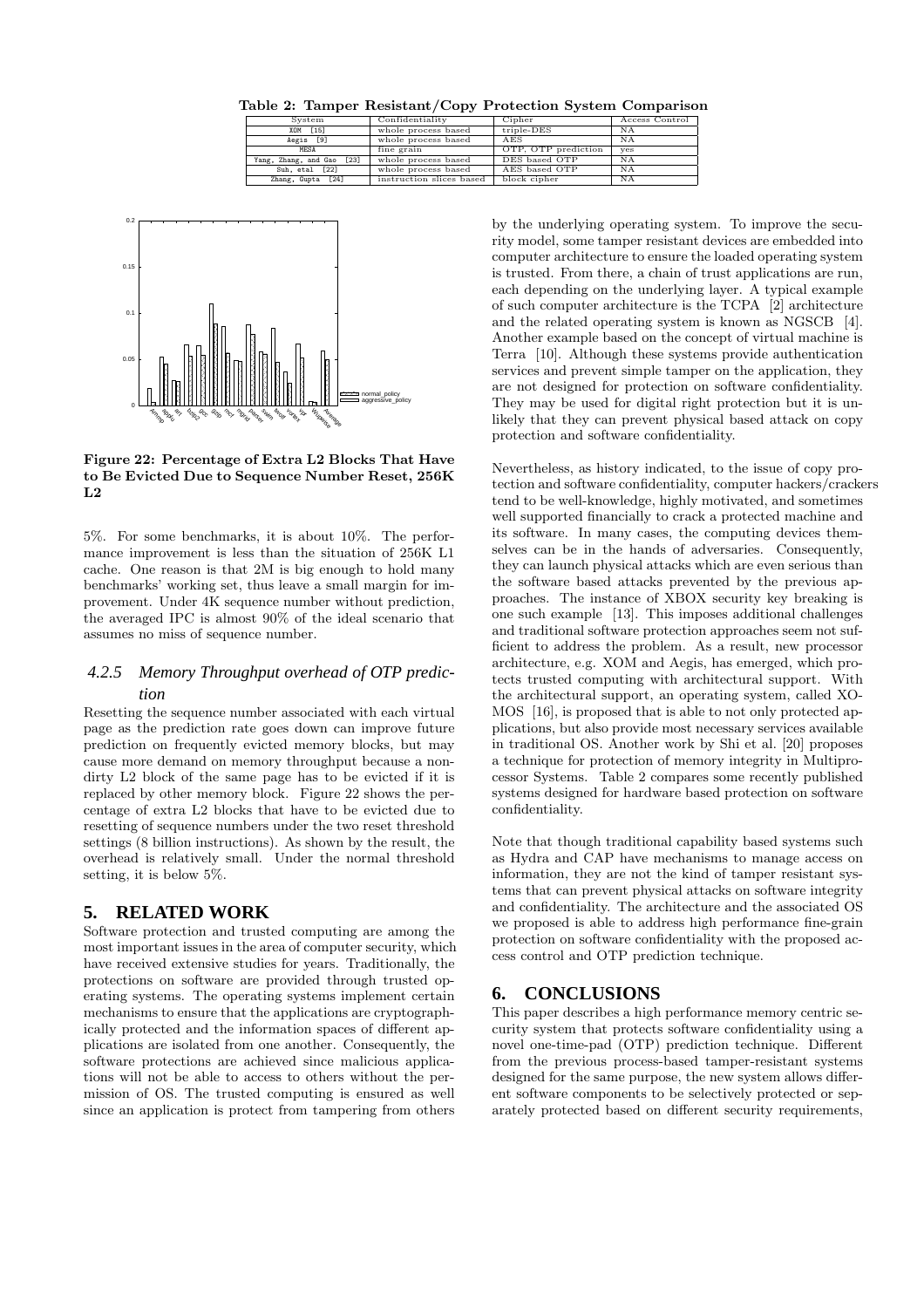Table 2: Tamper Resistant/Copy Protection System Comparison

| System                    | Confidentiality          | Cipher              | Access Control |
|---------------------------|--------------------------|---------------------|----------------|
| XOM [15]                  | whole process based      | triple-DES          | ΝA             |
| Aegis [9]                 | whole process based      | AES                 | <b>NA</b>      |
| MESA                      | fine grain               | OTP, OTP prediction | yes            |
| Yang, Zhang, and Gao [23] | whole process based      | DES based OTP       | ΝA             |
| Suh, etal [22]            | whole process based      | AES based OTP       | NA             |
| Zhang, Gupta [24]         | instruction slices based | block cipher        | NA             |



Figure 22: Percentage of Extra L2 Blocks That Have to Be Evicted Due to Sequence Number Reset, 256K  $L<sub>2</sub>$ 

5%. For some benchmarks, it is about 10%. The performance improvement is less than the situation of 256K L1 cache. One reason is that 2M is big enough to hold many benchmarks' working set, thus leave a small margin for improvement. Under 4K sequence number without prediction, the averaged IPC is almost 90% of the ideal scenario that assumes no miss of sequence number.

### *4.2.5 Memory Throughput overhead of OTP prediction*

Resetting the sequence number associated with each virtual page as the prediction rate goes down can improve future prediction on frequently evicted memory blocks, but may cause more demand on memory throughput because a nondirty L2 block of the same page has to be evicted if it is replaced by other memory block. Figure 22 shows the percentage of extra L2 blocks that have to be evicted due to resetting of sequence numbers under the two reset threshold settings (8 billion instructions). As shown by the result, the overhead is relatively small. Under the normal threshold setting, it is below 5%.

# **5. RELATED WORK**

Software protection and trusted computing are among the most important issues in the area of computer security, which have received extensive studies for years. Traditionally, the protections on software are provided through trusted operating systems. The operating systems implement certain mechanisms to ensure that the applications are cryptographically protected and the information spaces of different applications are isolated from one another. Consequently, the software protections are achieved since malicious applications will not be able to access to others without the permission of OS. The trusted computing is ensured as well since an application is protect from tampering from others by the underlying operating system. To improve the security model, some tamper resistant devices are embedded into computer architecture to ensure the loaded operating system is trusted. From there, a chain of trust applications are run, each depending on the underlying layer. A typical example of such computer architecture is the TCPA [2] architecture and the related operating system is known as NGSCB [4]. Another example based on the concept of virtual machine is Terra [10]. Although these systems provide authentication services and prevent simple tamper on the application, they are not designed for protection on software confidentiality. They may be used for digital right protection but it is unlikely that they can prevent physical based attack on copy protection and software confidentiality.

Nevertheless, as history indicated, to the issue of copy protection and software confidentiality, computer hackers/crackers tend to be well-knowledge, highly motivated, and sometimes well supported financially to crack a protected machine and its software. In many cases, the computing devices themselves can be in the hands of adversaries. Consequently, they can launch physical attacks which are even serious than the software based attacks prevented by the previous approaches. The instance of XBOX security key breaking is one such example [13]. This imposes additional challenges and traditional software protection approaches seem not sufficient to address the problem. As a result, new processor architecture, e.g. XOM and Aegis, has emerged, which protects trusted computing with architectural support. With the architectural support, an operating system, called XO-MOS [16], is proposed that is able to not only protected applications, but also provide most necessary services available in traditional OS. Another work by Shi et al. [20] proposes a technique for protection of memory integrity in Multiprocessor Systems. Table 2 compares some recently published systems designed for hardware based protection on software confidentiality.

Note that though traditional capability based systems such as Hydra and CAP have mechanisms to manage access on information, they are not the kind of tamper resistant systems that can prevent physical attacks on software integrity and confidentiality. The architecture and the associated OS we proposed is able to address high performance fine-grain protection on software confidentiality with the proposed access control and OTP prediction technique.

# **6. CONCLUSIONS**

This paper describes a high performance memory centric security system that protects software confidentiality using a novel one-time-pad (OTP) prediction technique. Different from the previous process-based tamper-resistant systems designed for the same purpose, the new system allows different software components to be selectively protected or separately protected based on different security requirements,